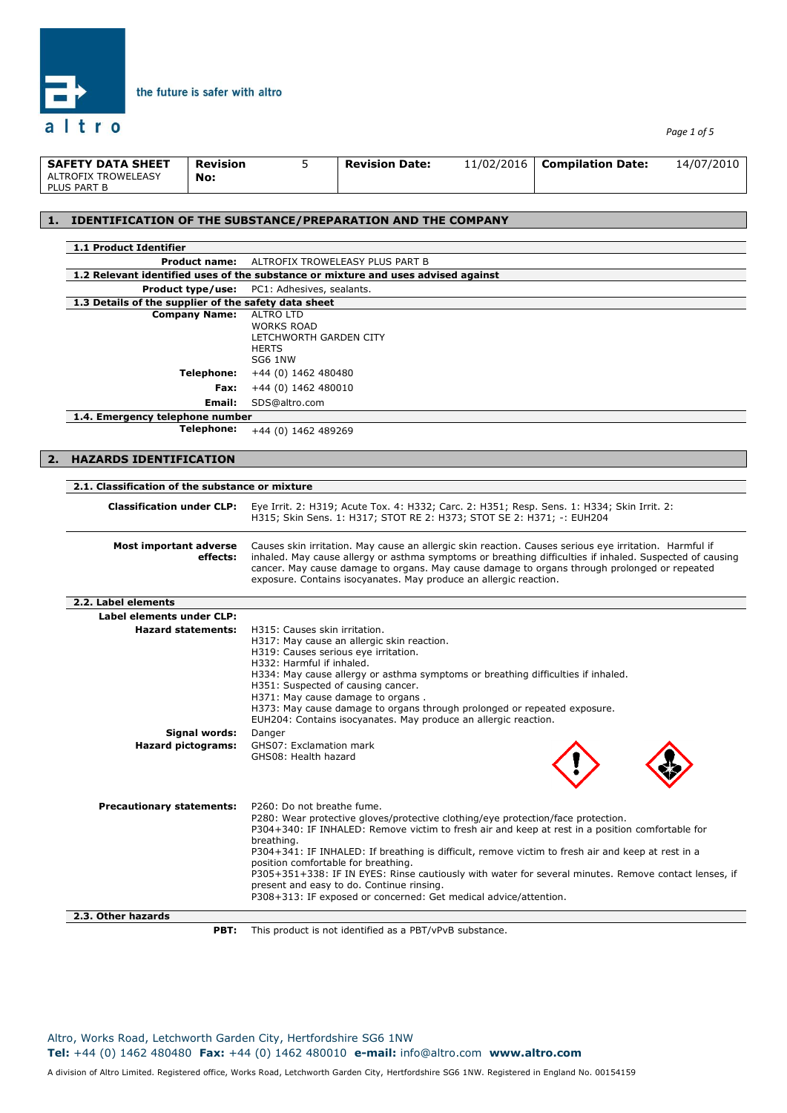

*Page 1 of 5*

| <b>SAFETY DATA SHEET</b>           | <b>Revision</b> | <b>Revision Date:</b> | 11/02/2016 | <b>Compilation Date:</b> | 14/07/2010 |
|------------------------------------|-----------------|-----------------------|------------|--------------------------|------------|
| ALTROFIX TROWELEASY<br>PLUS PART B | No:             |                       |            |                          |            |

### **1. IDENTIFICATION OF THE SUBSTANCE/PREPARATION AND THE COMPANY**

the future is safer with altro

|    | 1.1 Product Identifier                               |                                                                                                                                                                                                                    |
|----|------------------------------------------------------|--------------------------------------------------------------------------------------------------------------------------------------------------------------------------------------------------------------------|
|    | <b>Product name:</b>                                 | ALTROFIX TROWELEASY PLUS PART B                                                                                                                                                                                    |
|    |                                                      | 1.2 Relevant identified uses of the substance or mixture and uses advised against                                                                                                                                  |
|    | Product type/use:                                    | PC1: Adhesives, sealants.                                                                                                                                                                                          |
|    | 1.3 Details of the supplier of the safety data sheet |                                                                                                                                                                                                                    |
|    | <b>Company Name:</b>                                 | <b>ALTRO LTD</b><br><b>WORKS ROAD</b>                                                                                                                                                                              |
|    |                                                      | LETCHWORTH GARDEN CITY                                                                                                                                                                                             |
|    |                                                      | <b>HERTS</b>                                                                                                                                                                                                       |
|    |                                                      | SG6 1NW                                                                                                                                                                                                            |
|    | Telephone:                                           | +44 (0) 1462 480480                                                                                                                                                                                                |
|    | Fax:                                                 | +44 (0) 1462 480010                                                                                                                                                                                                |
|    | Email:                                               | SDS@altro.com                                                                                                                                                                                                      |
|    | 1.4. Emergency telephone number                      |                                                                                                                                                                                                                    |
|    | <b>Telephone:</b>                                    | +44 (0) 1462 489269                                                                                                                                                                                                |
|    |                                                      |                                                                                                                                                                                                                    |
| 2. | <b>HAZARDS IDENTIFICATION</b>                        |                                                                                                                                                                                                                    |
|    |                                                      |                                                                                                                                                                                                                    |
|    | 2.1. Classification of the substance or mixture      |                                                                                                                                                                                                                    |
|    |                                                      |                                                                                                                                                                                                                    |
|    | <b>Classification under CLP:</b>                     | Eye Irrit. 2: H319; Acute Tox. 4: H332; Carc. 2: H351; Resp. Sens. 1: H334; Skin Irrit. 2:<br>H315; Skin Sens. 1: H317; STOT RE 2: H373; STOT SE 2: H371; -: EUH204                                                |
|    |                                                      |                                                                                                                                                                                                                    |
|    |                                                      |                                                                                                                                                                                                                    |
|    | <b>Most important adverse</b><br>effects:            | Causes skin irritation. May cause an allergic skin reaction. Causes serious eye irritation. Harmful if<br>inhaled. May cause allergy or asthma symptoms or breathing difficulties if inhaled. Suspected of causing |
|    |                                                      | cancer. May cause damage to organs. May cause damage to organs through prolonged or repeated                                                                                                                       |
|    |                                                      | exposure. Contains isocyanates. May produce an allergic reaction.                                                                                                                                                  |
|    |                                                      |                                                                                                                                                                                                                    |
|    | 2.2. Label elements                                  |                                                                                                                                                                                                                    |
|    | Label elements under CLP:                            |                                                                                                                                                                                                                    |
|    | <b>Hazard statements:</b>                            | H315: Causes skin irritation.<br>H317: May cause an allergic skin reaction.                                                                                                                                        |
|    |                                                      | H319: Causes serious eye irritation.                                                                                                                                                                               |
|    |                                                      | H332: Harmful if inhaled.                                                                                                                                                                                          |
|    |                                                      | H334: May cause allergy or asthma symptoms or breathing difficulties if inhaled.                                                                                                                                   |
|    |                                                      | H351: Suspected of causing cancer.                                                                                                                                                                                 |
|    |                                                      | H371: May cause damage to organs.<br>H373: May cause damage to organs through prolonged or repeated exposure.                                                                                                      |
|    |                                                      | EUH204: Contains isocyanates. May produce an allergic reaction.                                                                                                                                                    |
|    | Signal words:                                        | Danger                                                                                                                                                                                                             |
|    | <b>Hazard pictograms:</b>                            | GHS07: Exclamation mark                                                                                                                                                                                            |
|    |                                                      | GHS08: Health hazard                                                                                                                                                                                               |
|    |                                                      |                                                                                                                                                                                                                    |
|    |                                                      |                                                                                                                                                                                                                    |
|    |                                                      |                                                                                                                                                                                                                    |
|    | <b>Precautionary statements:</b>                     | P260: Do not breathe fume.<br>P280: Wear protective gloves/protective clothing/eye protection/face protection.                                                                                                     |
|    |                                                      | P304+340: IF INHALED: Remove victim to fresh air and keep at rest in a position comfortable for                                                                                                                    |
|    |                                                      | breathing.                                                                                                                                                                                                         |
|    |                                                      | P304+341: IF INHALED: If breathing is difficult, remove victim to fresh air and keep at rest in a                                                                                                                  |
|    |                                                      | position comfortable for breathing.                                                                                                                                                                                |
|    |                                                      | P305+351+338: IF IN EYES: Rinse cautiously with water for several minutes. Remove contact lenses, if                                                                                                               |
|    |                                                      | present and easy to do. Continue rinsing.<br>P308+313: IF exposed or concerned: Get medical advice/attention.                                                                                                      |
|    |                                                      |                                                                                                                                                                                                                    |
|    | 2.3. Other hazards                                   |                                                                                                                                                                                                                    |
|    | PBT:                                                 | This product is not identified as a PBT/vPvB substance.                                                                                                                                                            |

**PBT:** This product is not identified as a PBT/vPvB substance.

Altro, Works Road, Letchworth Garden City, Hertfordshire SG6 1NW **Tel:** +44 (0) 1462 480480 **Fax:** +44 (0) 1462 480010 **e-mail:** info@altro.com **www.altro.com**

A division of Altro Limited. Registered office, Works Road, Letchworth Garden City, Hertfordshire SG6 1NW. Registered in England No. 00154159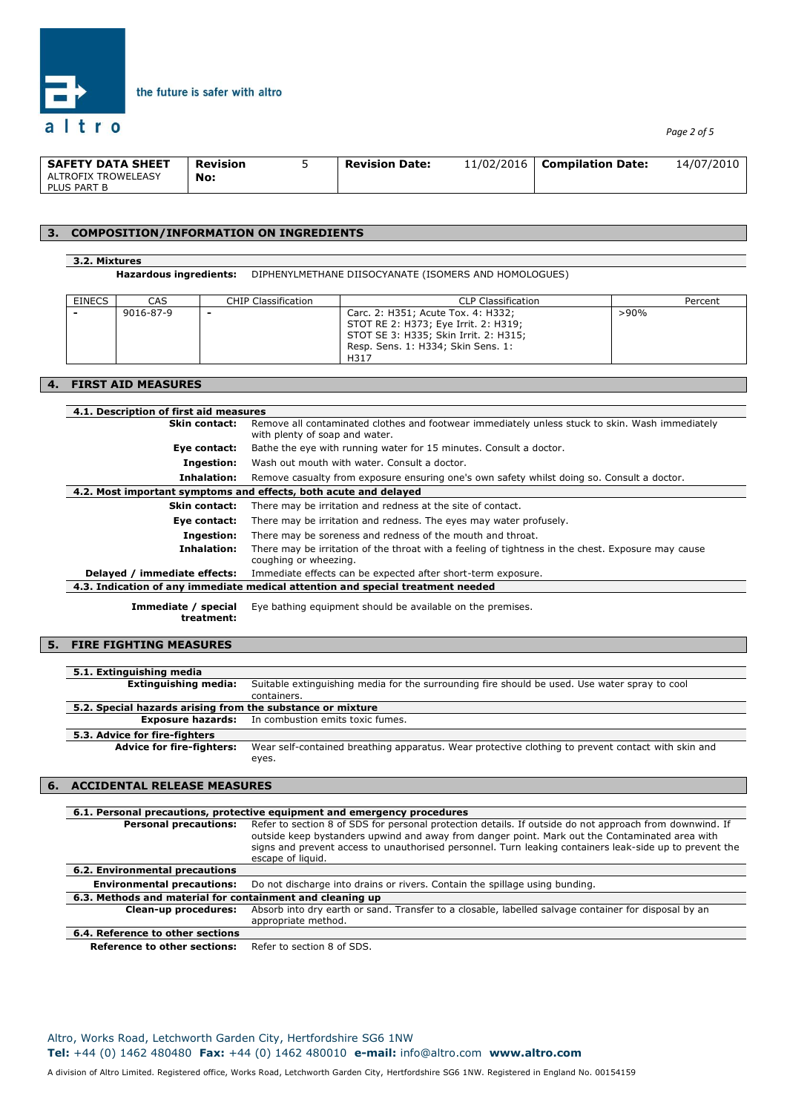

| <b>SAFETY DATA SHEET</b>           | Revision | <b>Revision Date:</b> | 11/02/2016 | <b>Compilation Date:</b> | 14/07/2010 |
|------------------------------------|----------|-----------------------|------------|--------------------------|------------|
| ALTROFIX TROWELEASY<br>PLUS PART B | No:      |                       |            |                          |            |

### **3. COMPOSITION/INFORMATION ON INGREDIENTS**

the future is safer with altro

#### **3.2. Mixtures**

**Hazardous ingredients:** DIPHENYLMETHANE DIISOCYANATE (ISOMERS AND HOMOLOGUES)

| <b>EINECS</b> | <b>CAS</b> | <b>CHIP Classification</b> | <b>CLP Classification</b>                                                                                                                                         | Percent |
|---------------|------------|----------------------------|-------------------------------------------------------------------------------------------------------------------------------------------------------------------|---------|
|               | 9016-87-9  | $\overline{\phantom{0}}$   | Carc. 2: H351; Acute Tox. 4: H332;<br>STOT RE 2: H373; Eye Irrit. 2: H319;<br>STOT SE 3: H335; Skin Irrit. 2: H315;<br>Resp. Sens. 1: H334; Skin Sens. 1:<br>H317 | $>90\%$ |

# **4. FIRST AID MEASURES**

| 4.1. Description of first aid measures |                                                                                                                                   |
|----------------------------------------|-----------------------------------------------------------------------------------------------------------------------------------|
| <b>Skin contact:</b>                   | Remove all contaminated clothes and footwear immediately unless stuck to skin. Wash immediately<br>with plenty of soap and water. |
| Eye contact:                           | Bathe the eye with running water for 15 minutes. Consult a doctor.                                                                |
| Ingestion:                             | Wash out mouth with water. Consult a doctor.                                                                                      |
| Inhalation:                            | Remove casualty from exposure ensuring one's own safety whilst doing so. Consult a doctor.                                        |
|                                        | 4.2. Most important symptoms and effects, both acute and delayed                                                                  |
| <b>Skin contact:</b>                   | There may be irritation and redness at the site of contact.                                                                       |
| Eye contact:                           | There may be irritation and redness. The eyes may water profusely.                                                                |
| Ingestion:                             | There may be soreness and redness of the mouth and throat.                                                                        |
| Inhalation:                            | There may be irritation of the throat with a feeling of tightness in the chest. Exposure may cause<br>coughing or wheezing.       |
| Delayed / immediate effects:           | Immediate effects can be expected after short-term exposure.                                                                      |
|                                        | 4.3. Indication of any immediate medical attention and special treatment needed                                                   |
| Immediate / special                    | Eye bathing equipment should be available on the premises.                                                                        |

**treatment:**

### **5. FIRE FIGHTING MEASURES**

| <b>Extinguishing media:</b><br>Suitable extinguishing media for the surrounding fire should be used. Use water spray to cool           |
|----------------------------------------------------------------------------------------------------------------------------------------|
| containers.                                                                                                                            |
| 5.2. Special hazards arising from the substance or mixture                                                                             |
| <b>Exposure hazards:</b> In combustion emits toxic fumes.                                                                              |
|                                                                                                                                        |
| <b>Advice for fire-fighters:</b><br>Wear self-contained breathing apparatus. Wear protective clothing to prevent contact with skin and |
| eyes.                                                                                                                                  |
|                                                                                                                                        |

#### **6. ACCIDENTAL RELEASE MEASURES**

|                                                           | 6.1. Personal precautions, protective equipment and emergency procedures                                                                                                                                                                                                                                                                  |
|-----------------------------------------------------------|-------------------------------------------------------------------------------------------------------------------------------------------------------------------------------------------------------------------------------------------------------------------------------------------------------------------------------------------|
| <b>Personal precautions:</b>                              | Refer to section 8 of SDS for personal protection details. If outside do not approach from downwind. If<br>outside keep bystanders upwind and away from danger point. Mark out the Contaminated area with<br>signs and prevent access to unauthorised personnel. Turn leaking containers leak-side up to prevent the<br>escape of liquid. |
| 6.2. Environmental precautions                            |                                                                                                                                                                                                                                                                                                                                           |
| <b>Environmental precautions:</b>                         | Do not discharge into drains or rivers. Contain the spillage using bunding.                                                                                                                                                                                                                                                               |
| 6.3. Methods and material for containment and cleaning up |                                                                                                                                                                                                                                                                                                                                           |
| Clean-up procedures:                                      | Absorb into dry earth or sand. Transfer to a closable, labelled salvage container for disposal by an<br>appropriate method.                                                                                                                                                                                                               |
| 6.4. Reference to other sections                          |                                                                                                                                                                                                                                                                                                                                           |
| <b>Reference to other sections:</b>                       | Refer to section 8 of SDS.                                                                                                                                                                                                                                                                                                                |

Altro, Works Road, Letchworth Garden City, Hertfordshire SG6 1NW **Tel:** +44 (0) 1462 480480 **Fax:** +44 (0) 1462 480010 **e-mail:** info@altro.com **www.altro.com**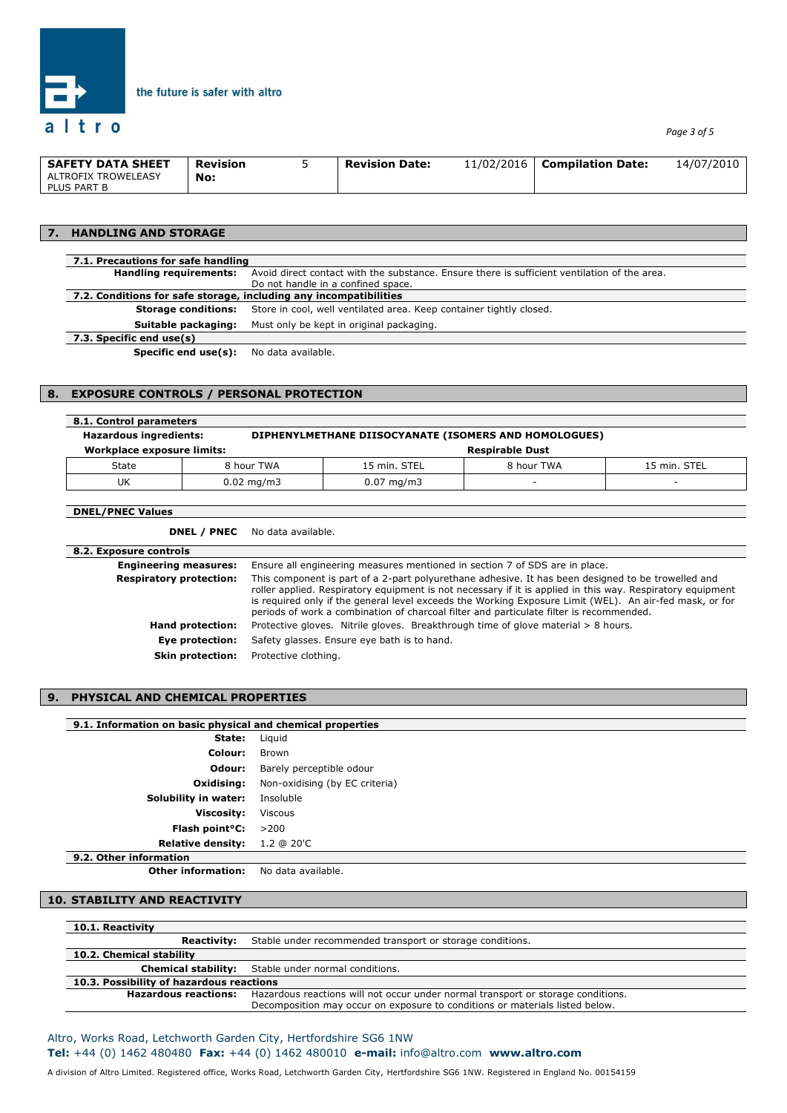

*Page 3 of 5*

| <b>SAFETY DATA SHEET</b>           | <b>Revision</b> | <b>Revision Date:</b> | 11/02/2016 | <b>Compilation Date:</b> | 14/07/2010 |
|------------------------------------|-----------------|-----------------------|------------|--------------------------|------------|
| ALTROFIX TROWELEASY<br>PLUS PART B | No:             |                       |            |                          |            |

### **7. HANDLING AND STORAGE**

| 7.1. Precautions for safe handling                                |                                                                                              |  |  |
|-------------------------------------------------------------------|----------------------------------------------------------------------------------------------|--|--|
| <b>Handling requirements:</b>                                     | Avoid direct contact with the substance. Ensure there is sufficient ventilation of the area. |  |  |
|                                                                   | Do not handle in a confined space.                                                           |  |  |
| 7.2. Conditions for safe storage, including any incompatibilities |                                                                                              |  |  |
| <b>Storage conditions:</b>                                        | Store in cool, well ventilated area. Keep container tightly closed.                          |  |  |
| Suitable packaging:                                               | Must only be kept in original packaging.                                                     |  |  |
| 7.3. Specific end use(s)                                          |                                                                                              |  |  |
| <b>Specific end use(s):</b> No data available.                    |                                                                                              |  |  |

### **8. EXPOSURE CONTROLS / PERSONAL PROTECTION**

the future is safer with altro

| 8.1. Control parameters       |                        |                        |                                                       |              |
|-------------------------------|------------------------|------------------------|-------------------------------------------------------|--------------|
| <b>Hazardous ingredients:</b> |                        |                        | DIPHENYLMETHANE DIISOCYANATE (ISOMERS AND HOMOLOGUES) |              |
| Workplace exposure limits:    |                        |                        | <b>Respirable Dust</b>                                |              |
| State                         | 8 hour TWA             | 15 min. STEL           | 8 hour TWA                                            | 15 min. STEL |
| UK                            | $0.02 \,\mathrm{mg/m}$ | $0.07 \,\mathrm{mg/m}$ | -                                                     |              |

#### **DNEL/PNEC Values**

| 8.2. Exposure controls         |                                                                                                                                                                                                                                                                                                                                                                                                                        |
|--------------------------------|------------------------------------------------------------------------------------------------------------------------------------------------------------------------------------------------------------------------------------------------------------------------------------------------------------------------------------------------------------------------------------------------------------------------|
| <b>Engineering measures:</b>   | Ensure all engineering measures mentioned in section 7 of SDS are in place.                                                                                                                                                                                                                                                                                                                                            |
| <b>Respiratory protection:</b> | This component is part of a 2-part polyurethane adhesive. It has been designed to be trowelled and<br>roller applied. Respiratory equipment is not necessary if it is applied in this way. Respiratory equipment<br>is required only if the general level exceeds the Working Exposure Limit (WEL). An air-fed mask, or for<br>periods of work a combination of charcoal filter and particulate filter is recommended. |
| Hand protection:               | Protective gloves. Nitrile gloves. Breakthrough time of glove material > 8 hours.                                                                                                                                                                                                                                                                                                                                      |
| Eye protection:                | Safety glasses. Ensure eye bath is to hand.                                                                                                                                                                                                                                                                                                                                                                            |
| <b>Skin protection:</b>        | Protective clothing.                                                                                                                                                                                                                                                                                                                                                                                                   |

### **9. PHYSICAL AND CHEMICAL PROPERTIES**

### **9.1. Information on basic physical and chemical properties**

| State:                      | Liguid                         |  |  |  |
|-----------------------------|--------------------------------|--|--|--|
| Colour:                     | Brown                          |  |  |  |
| Odour:                      | Barely perceptible odour       |  |  |  |
| Oxidising:                  | Non-oxidising (by EC criteria) |  |  |  |
| Solubility in water:        | Insoluble                      |  |  |  |
| <b>Viscosity:</b>           | <b>Viscous</b>                 |  |  |  |
| Flash point <sup>o</sup> C: | >200                           |  |  |  |
| <b>Relative density:</b>    | 1.2 @ 20'C                     |  |  |  |
| 9.2. Other information      |                                |  |  |  |

**Other information:** No data available.

# **10. STABILITY AND REACTIVITY**

| 10.1. Reactivity                         |                                                                                                                                                                  |  |
|------------------------------------------|------------------------------------------------------------------------------------------------------------------------------------------------------------------|--|
| <b>Reactivity:</b>                       | Stable under recommended transport or storage conditions.                                                                                                        |  |
| 10.2. Chemical stability                 |                                                                                                                                                                  |  |
|                                          | <b>Chemical stability:</b> Stable under normal conditions.                                                                                                       |  |
| 10.3. Possibility of hazardous reactions |                                                                                                                                                                  |  |
| <b>Hazardous reactions:</b>              | Hazardous reactions will not occur under normal transport or storage conditions.<br>Decomposition may occur on exposure to conditions or materials listed below. |  |
|                                          |                                                                                                                                                                  |  |

### Altro, Works Road, Letchworth Garden City, Hertfordshire SG6 1NW **Tel:** +44 (0) 1462 480480 **Fax:** +44 (0) 1462 480010 **e-mail:** info@altro.com **www.altro.com**

A division of Altro Limited. Registered office, Works Road, Letchworth Garden City, Hertfordshire SG6 1NW. Registered in England No. 00154159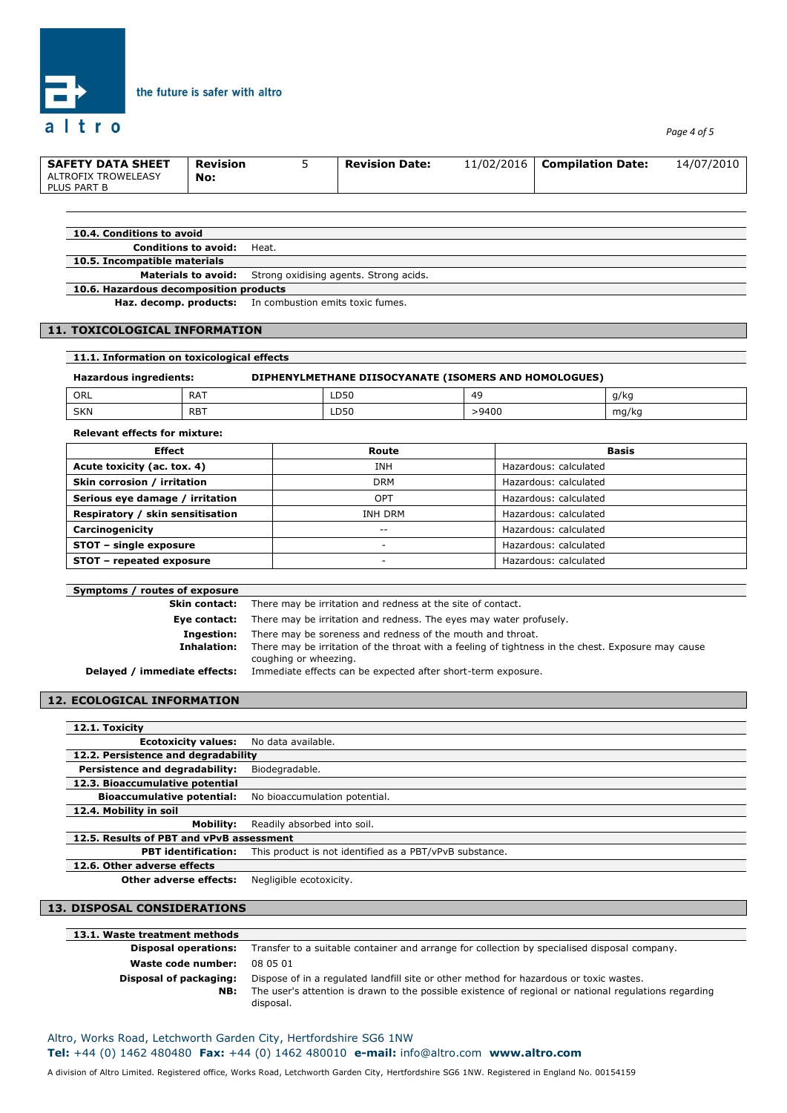

*Page 4 of 5*

| <b>SAFETY DATA SHEET</b>           | Revision | <b>Revision Date:</b> | 11/02/2016 | <b>Compilation Date:</b> | 14/07/2010 |
|------------------------------------|----------|-----------------------|------------|--------------------------|------------|
| ALTROFIX TROWELEASY<br>PLUS PART B | No:      |                       |            |                          |            |
|                                    |          |                       |            |                          |            |

| 10.4. Conditions to avoid              |                                                                   |  |
|----------------------------------------|-------------------------------------------------------------------|--|
| <b>Conditions to avoid:</b>            | Heat.                                                             |  |
| 10.5. Incompatible materials           |                                                                   |  |
|                                        | <b>Materials to avoid:</b> Strong oxidising agents. Strong acids. |  |
| 10.6. Hazardous decomposition products |                                                                   |  |

**Haz. decomp. products:** In combustion emits toxic fumes.

the future is safer with altro

#### **11. TOXICOLOGICAL INFORMATION**

| 11.1. Information on toxicological effects                                      |            |      |       |       |
|---------------------------------------------------------------------------------|------------|------|-------|-------|
| DIPHENYLMETHANE DIISOCYANATE (ISOMERS AND HOMOLOGUES)<br>Hazardous ingredients: |            |      |       |       |
| ORL                                                                             | RAT        | LD50 | 49    | g/kg  |
| <b>SKN</b>                                                                      | <b>RBT</b> | LD50 | >9400 | mg/kg |

**Relevant effects for mixture:**

| <b>Effect</b>                    | Route          | <b>Basis</b>          |
|----------------------------------|----------------|-----------------------|
| Acute toxicity (ac. tox. 4)      | <b>INH</b>     | Hazardous: calculated |
| Skin corrosion / irritation      | <b>DRM</b>     | Hazardous: calculated |
| Serious eye damage / irritation  | OPT            | Hazardous: calculated |
| Respiratory / skin sensitisation | <b>INH DRM</b> | Hazardous: calculated |
| Carcinogenicity                  | --             | Hazardous: calculated |
| STOT - single exposure           | -              | Hazardous: calculated |
| STOT - repeated exposure         |                | Hazardous: calculated |

| Symptoms / routes of exposure |                                                                                                                             |
|-------------------------------|-----------------------------------------------------------------------------------------------------------------------------|
| Skin contact:                 | There may be irritation and redness at the site of contact.                                                                 |
| Eye contact:                  | There may be irritation and redness. The eyes may water profusely.                                                          |
| Ingestion:                    | There may be soreness and redness of the mouth and throat.                                                                  |
| Inhalation:                   | There may be irritation of the throat with a feeling of tightness in the chest. Exposure may cause<br>coughing or wheezing. |
| Delayed / immediate effects:  | Immediate effects can be expected after short-term exposure.                                                                |

### **12. ECOLOGICAL INFORMATION**

| 12.1. Toxicity                           |                                                         |
|------------------------------------------|---------------------------------------------------------|
| <b>Ecotoxicity values:</b>               | No data available.                                      |
| 12.2. Persistence and degradability      |                                                         |
| Persistence and degradability:           | Biodegradable.                                          |
| 12.3. Bioaccumulative potential          |                                                         |
| <b>Bioaccumulative potential:</b>        | No bioaccumulation potential.                           |
| 12.4. Mobility in soil                   |                                                         |
| <b>Mobility:</b>                         | Readily absorbed into soil.                             |
| 12.5. Results of PBT and vPvB assessment |                                                         |
| <b>PBT</b> identification:               | This product is not identified as a PBT/vPvB substance. |
| 12.6. Other adverse effects              |                                                         |
| <b>Other adverse effects:</b>            | Negligible ecotoxicity.                                 |

#### **13. DISPOSAL CONSIDERATIONS**

| 13.1. Waste treatment methods |                                                                                                                    |
|-------------------------------|--------------------------------------------------------------------------------------------------------------------|
| <b>Disposal operations:</b>   | Transfer to a suitable container and arrange for collection by specialised disposal company.                       |
| Waste code number:            | 08 05 01                                                                                                           |
| Disposal of packaging:        | Dispose of in a regulated landfill site or other method for hazardous or toxic wastes.                             |
| NB:                           | The user's attention is drawn to the possible existence of regional or national regulations regarding<br>disposal. |

A division of Altro Limited. Registered office, Works Road, Letchworth Garden City, Hertfordshire SG6 1NW. Registered in England No. 00154159